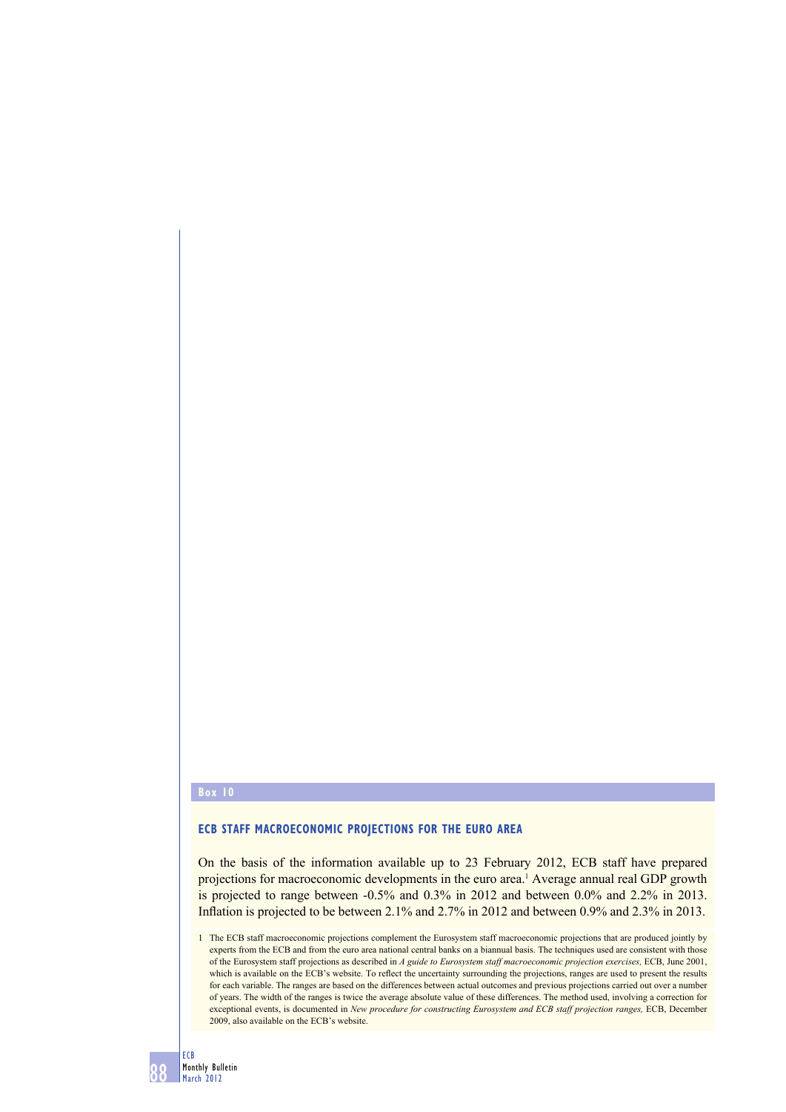## **Box 10**

## **ECB STAFF MACROECONOMIC PROJECTIONS FOR THE EURO AREA**

On the basis of the information available up to 23 February 2012, ECB staff have prepared projections for macroeconomic developments in the euro area.<sup>1</sup> Average annual real GDP growth is projected to range between -0.5% and 0.3% in 2012 and between 0.0% and 2.2% in 2013. Inflation is projected to be between  $2.1\%$  and  $2.7\%$  in 2012 and between 0.9% and  $2.3\%$  in 2013.

1 The ECB staff macroeconomic projections complement the Eurosystem staff macroeconomic projections that are produced jointly by experts from the ECB and from the euro area national central banks on a biannual basis. The techniques used are consistent with those of the Eurosystem staff projections as described in *A guide to Eurosystem staff macroeconomic projection exercises,* ECB, June 2001, which is available on the ECB's website. To reflect the uncertainty surrounding the projections, ranges are used to present the results for each variable. The ranges are based on the differences between actual outcomes and previous projections carried out over a number of years. The width of the ranges is twice the average absolute value of these differences. The method used, involving a correction for exceptional events, is documented in *New procedure for constructing Eurosystem and ECB staff projection ranges,* ECB, December 2009, also available on the ECB's website.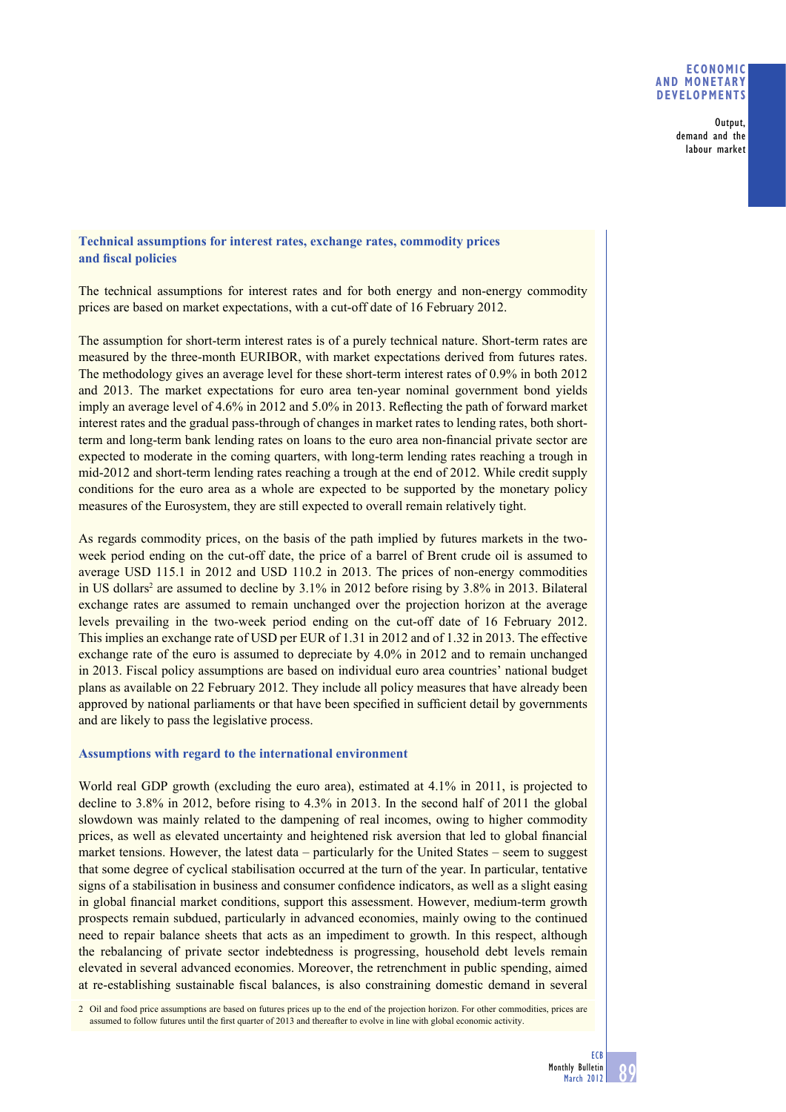### **ECONOMIC AND MONETARY DEVELOPMENTS**

Output, demand and the labour market

## **Technical assumptions for interest rates, exchange rates, commodity prices**  and fiscal policies

The technical assumptions for interest rates and for both energy and non-energy commodity prices are based on market expectations, with a cut-off date of 16 February 2012.

The assumption for short-term interest rates is of a purely technical nature. Short-term rates are measured by the three-month EURIBOR, with market expectations derived from futures rates. The methodology gives an average level for these short-term interest rates of 0.9% in both 2012 and 2013. The market expectations for euro area ten-year nominal government bond yields imply an average level of 4.6% in 2012 and 5.0% in 2013. Reflecting the path of forward market interest rates and the gradual pass-through of changes in market rates to lending rates, both shortterm and long-term bank lending rates on loans to the euro area non-financial private sector are expected to moderate in the coming quarters, with long-term lending rates reaching a trough in mid-2012 and short-term lending rates reaching a trough at the end of 2012. While credit supply conditions for the euro area as a whole are expected to be supported by the monetary policy measures of the Eurosystem, they are still expected to overall remain relatively tight.

As regards commodity prices, on the basis of the path implied by futures markets in the twoweek period ending on the cut-off date, the price of a barrel of Brent crude oil is assumed to average USD 115.1 in 2012 and USD 110.2 in 2013. The prices of non-energy commodities in US dollars<sup>2</sup> are assumed to decline by  $3.1\%$  in 2012 before rising by  $3.8\%$  in 2013. Bilateral exchange rates are assumed to remain unchanged over the projection horizon at the average levels prevailing in the two-week period ending on the cut-off date of 16 February 2012. This implies an exchange rate of USD per EUR of 1.31 in 2012 and of 1.32 in 2013. The effective exchange rate of the euro is assumed to depreciate by 4.0% in 2012 and to remain unchanged in 2013. Fiscal policy assumptions are based on individual euro area countries' national budget plans as available on 22 February 2012. They include all policy measures that have already been approved by national parliaments or that have been specified in sufficient detail by governments and are likely to pass the legislative process.

#### **Assumptions with regard to the international environment**

World real GDP growth (excluding the euro area), estimated at 4.1% in 2011, is projected to decline to 3.8% in 2012, before rising to 4.3% in 2013. In the second half of 2011 the global slowdown was mainly related to the dampening of real incomes, owing to higher commodity prices, as well as elevated uncertainty and heightened risk aversion that led to global financial market tensions. However, the latest data – particularly for the United States – seem to suggest that some degree of cyclical stabilisation occurred at the turn of the year. In particular, tentative signs of a stabilisation in business and consumer confidence indicators, as well as a slight easing in global financial market conditions, support this assessment. However, medium-term growth prospects remain subdued, particularly in advanced economies, mainly owing to the continued need to repair balance sheets that acts as an impediment to growth. In this respect, although the rebalancing of private sector indebtedness is progressing, household debt levels remain elevated in several advanced economies. Moreover, the retrenchment in public spending, aimed at re-establishing sustainable fiscal balances, is also constraining domestic demand in several

2 Oil and food price assumptions are based on futures prices up to the end of the projection horizon. For other commodities, prices are assumed to follow futures until the first quarter of 2013 and thereafter to evolve in line with global economic activity.

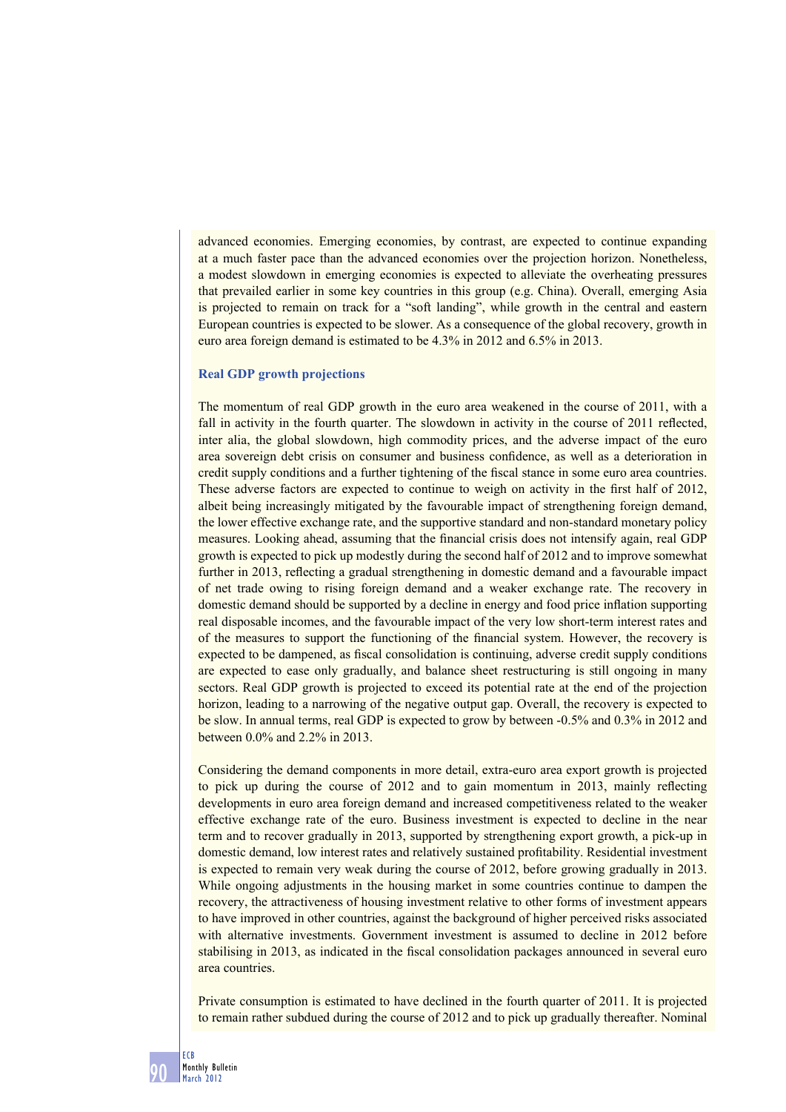advanced economies. Emerging economies, by contrast, are expected to continue expanding at a much faster pace than the advanced economies over the projection horizon. Nonetheless, a modest slowdown in emerging economies is expected to alleviate the overheating pressures that prevailed earlier in some key countries in this group (e.g. China). Overall, emerging Asia is projected to remain on track for a "soft landing", while growth in the central and eastern European countries is expected to be slower. As a consequence of the global recovery, growth in euro area foreign demand is estimated to be 4.3% in 2012 and 6.5% in 2013.

#### **Real GDP growth projections**

The momentum of real GDP growth in the euro area weakened in the course of 2011, with a fall in activity in the fourth quarter. The slowdown in activity in the course of 2011 reflected, inter alia, the global slowdown, high commodity prices, and the adverse impact of the euro area sovereign debt crisis on consumer and business confidence, as well as a deterioration in credit supply conditions and a further tightening of the fiscal stance in some euro area countries. These adverse factors are expected to continue to weigh on activity in the first half of 2012, albeit being increasingly mitigated by the favourable impact of strengthening foreign demand, the lower effective exchange rate, and the supportive standard and non-standard monetary policy measures. Looking ahead, assuming that the financial crisis does not intensify again, real GDP growth is expected to pick up modestly during the second half of 2012 and to improve somewhat further in 2013, reflecting a gradual strengthening in domestic demand and a favourable impact of net trade owing to rising foreign demand and a weaker exchange rate. The recovery in domestic demand should be supported by a decline in energy and food price inflation supporting real disposable incomes, and the favourable impact of the very low short-term interest rates and of the measures to support the functioning of the financial system. However, the recovery is expected to be dampened, as fiscal consolidation is continuing, adverse credit supply conditions are expected to ease only gradually, and balance sheet restructuring is still ongoing in many sectors. Real GDP growth is projected to exceed its potential rate at the end of the projection horizon, leading to a narrowing of the negative output gap. Overall, the recovery is expected to be slow. In annual terms, real GDP is expected to grow by between -0.5% and 0.3% in 2012 and between 0.0% and 2.2% in 2013.

Considering the demand components in more detail, extra-euro area export growth is projected to pick up during the course of 2012 and to gain momentum in 2013, mainly reflecting developments in euro area foreign demand and increased competitiveness related to the weaker effective exchange rate of the euro. Business investment is expected to decline in the near term and to recover gradually in 2013, supported by strengthening export growth, a pick-up in domestic demand, low interest rates and relatively sustained profi tability. Residential investment is expected to remain very weak during the course of 2012, before growing gradually in 2013. While ongoing adjustments in the housing market in some countries continue to dampen the recovery, the attractiveness of housing investment relative to other forms of investment appears to have improved in other countries, against the background of higher perceived risks associated with alternative investments. Government investment is assumed to decline in 2012 before stabilising in 2013, as indicated in the fiscal consolidation packages announced in several euro area countries.

Private consumption is estimated to have declined in the fourth quarter of 2011. It is projected to remain rather subdued during the course of 2012 and to pick up gradually thereafter. Nominal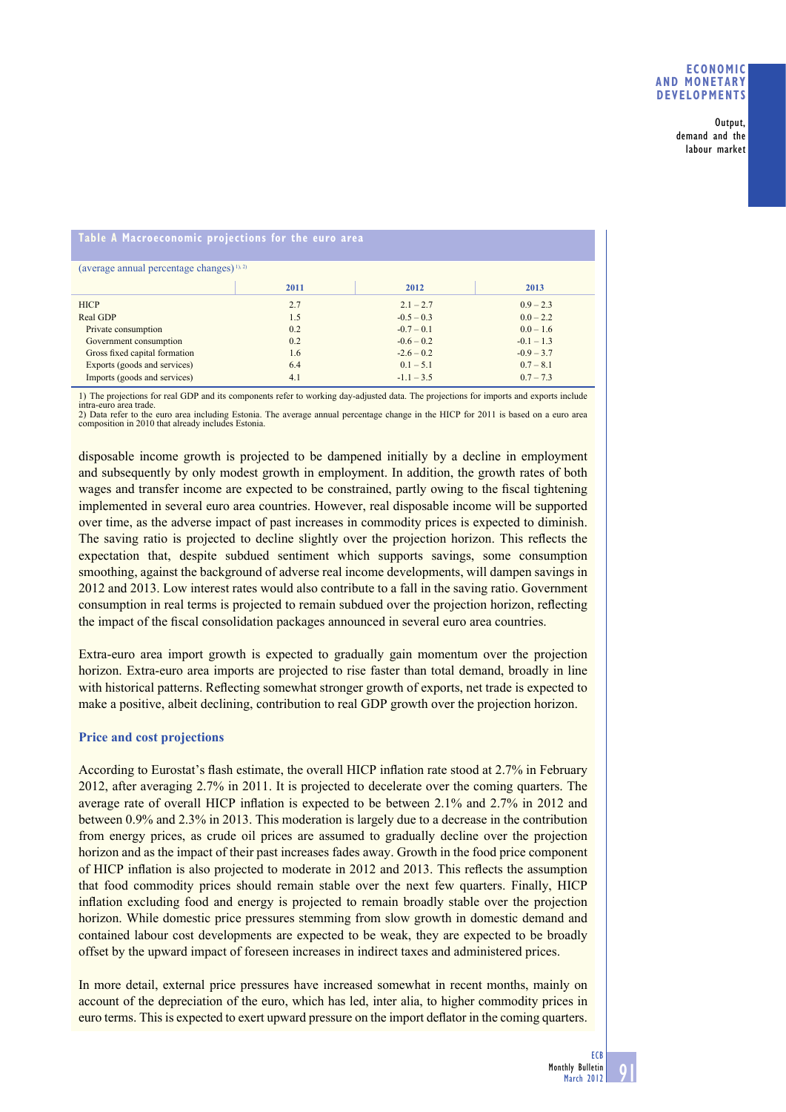Output, demand and the labour market

## **Table A Macroeconomic projections for the euro area**

| (average annual percentage changes) $(1)$ , $(2)$ |      |              |              |  |  |  |
|---------------------------------------------------|------|--------------|--------------|--|--|--|
|                                                   | 2011 | 2012         | 2013         |  |  |  |
| <b>HICP</b>                                       | 2.7  | $2.1 - 2.7$  | $0.9 - 2.3$  |  |  |  |
| Real GDP                                          | 1.5  | $-0.5 - 0.3$ | $0.0 - 2.2$  |  |  |  |
| Private consumption                               | 0.2  | $-0.7 - 0.1$ | $0.0 - 1.6$  |  |  |  |
| Government consumption                            | 0.2  | $-0.6 - 0.2$ | $-0.1 - 1.3$ |  |  |  |
| Gross fixed capital formation                     | 1.6  | $-2.6 - 0.2$ | $-0.9 - 3.7$ |  |  |  |
| Exports (goods and services)                      | 6.4  | $0.1 - 5.1$  | $0.7 - 8.1$  |  |  |  |
| Imports (goods and services)                      | 4.1  | $-1.1 - 3.5$ | $0.7 - 7.3$  |  |  |  |

1) The projections for real GDP and its components refer to working day-adjusted data. The projections for imports and exports include intra-euro area trade

intra-euro area trade. 2) Data refer to the euro area including Estonia. The average annual percentage change in the HICP for 2011 is based on a euro area composition in 2010 that already includes Estonia.

disposable income growth is projected to be dampened initially by a decline in employment and subsequently by only modest growth in employment. In addition, the growth rates of both wages and transfer income are expected to be constrained, partly owing to the fiscal tightening implemented in several euro area countries. However, real disposable income will be supported over time, as the adverse impact of past increases in commodity prices is expected to diminish. The saving ratio is projected to decline slightly over the projection horizon. This reflects the expectation that, despite subdued sentiment which supports savings, some consumption smoothing, against the background of adverse real income developments, will dampen savings in 2012 and 2013. Low interest rates would also contribute to a fall in the saving ratio. Government consumption in real terms is projected to remain subdued over the projection horizon, reflecting the impact of the fiscal consolidation packages announced in several euro area countries.

Extra-euro area import growth is expected to gradually gain momentum over the projection horizon. Extra-euro area imports are projected to rise faster than total demand, broadly in line with historical patterns. Reflecting somewhat stronger growth of exports, net trade is expected to make a positive, albeit declining, contribution to real GDP growth over the projection horizon.

## **Price and cost projections**

According to Eurostat's flash estimate, the overall HICP inflation rate stood at 2.7% in February 2012, after averaging 2.7% in 2011. It is projected to decelerate over the coming quarters. The average rate of overall HICP inflation is expected to be between 2.1% and 2.7% in 2012 and between 0.9% and 2.3% in 2013. This moderation is largely due to a decrease in the contribution from energy prices, as crude oil prices are assumed to gradually decline over the projection horizon and as the impact of their past increases fades away. Growth in the food price component of HICP inflation is also projected to moderate in 2012 and 2013. This reflects the assumption that food commodity prices should remain stable over the next few quarters. Finally, HICP inflation excluding food and energy is projected to remain broadly stable over the projection horizon. While domestic price pressures stemming from slow growth in domestic demand and contained labour cost developments are expected to be weak, they are expected to be broadly offset by the upward impact of foreseen increases in indirect taxes and administered prices.

In more detail, external price pressures have increased somewhat in recent months, mainly on account of the depreciation of the euro, which has led, inter alia, to higher commodity prices in euro terms. This is expected to exert upward pressure on the import deflator in the coming quarters.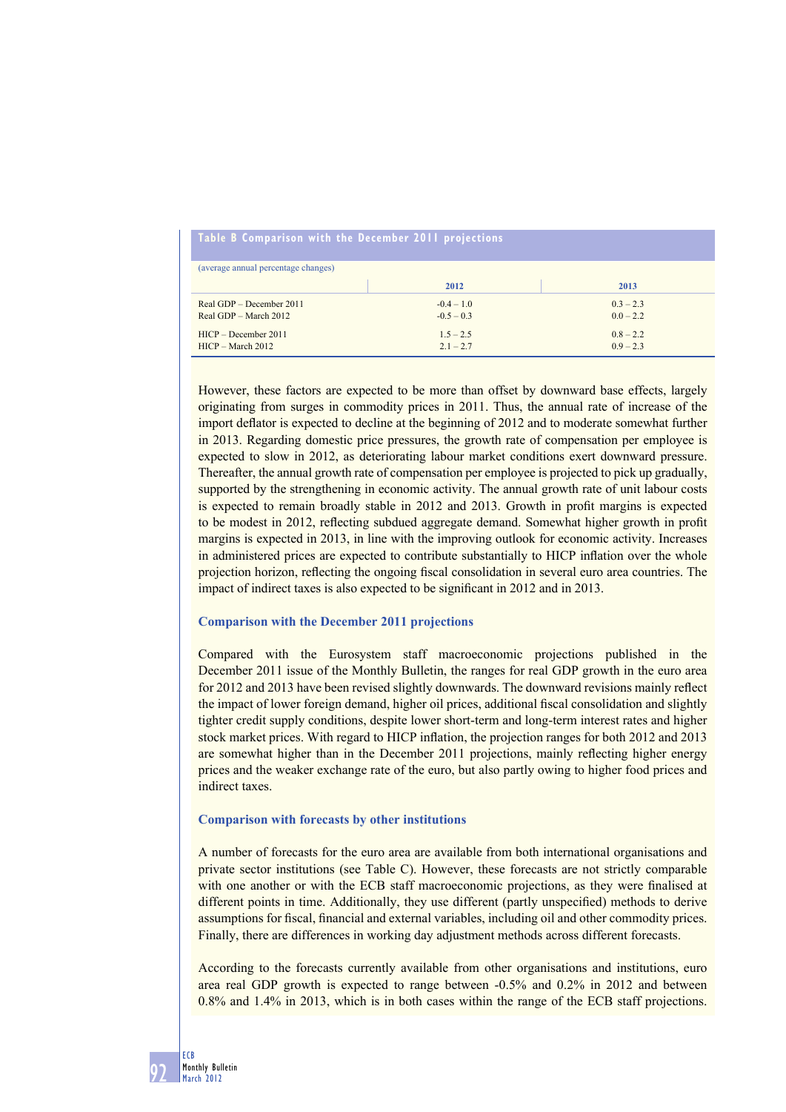# **Table B Comparison with the December 2011 projections**

| (average annual percentage changes) |              |             |  |  |  |
|-------------------------------------|--------------|-------------|--|--|--|
|                                     | 2012         | 2013        |  |  |  |
| Real GDP – December 2011            | $-0.4 - 1.0$ | $0.3 - 2.3$ |  |  |  |
| Real GDP – March 2012               | $-0.5 - 0.3$ | $0.0 - 2.2$ |  |  |  |
| $HICP - December 2011$              | $1.5 - 2.5$  | $0.8 - 2.2$ |  |  |  |
| $HICP - March 2012$                 | $2.1 - 2.7$  | $0.9 - 2.3$ |  |  |  |

However, these factors are expected to be more than offset by downward base effects, largely originating from surges in commodity prices in 2011. Thus, the annual rate of increase of the import deflator is expected to decline at the beginning of 2012 and to moderate somewhat further in 2013. Regarding domestic price pressures, the growth rate of compensation per employee is expected to slow in 2012, as deteriorating labour market conditions exert downward pressure. Thereafter, the annual growth rate of compensation per employee is projected to pick up gradually, supported by the strengthening in economic activity. The annual growth rate of unit labour costs is expected to remain broadly stable in 2012 and 2013. Growth in profit margins is expected to be modest in 2012, reflecting subdued aggregate demand. Somewhat higher growth in profit margins is expected in 2013, in line with the improving outlook for economic activity. Increases in administered prices are expected to contribute substantially to HICP inflation over the whole projection horizon, reflecting the ongoing fiscal consolidation in several euro area countries. The impact of indirect taxes is also expected to be significant in 2012 and in 2013.

#### **Comparison with the December 2011 projections**

Compared with the Eurosystem staff macroeconomic projections published in the December 2011 issue of the Monthly Bulletin, the ranges for real GDP growth in the euro area for 2012 and 2013 have been revised slightly downwards. The downward revisions mainly reflect the impact of lower foreign demand, higher oil prices, additional fiscal consolidation and slightly tighter credit supply conditions, despite lower short-term and long-term interest rates and higher stock market prices. With regard to HICP inflation, the projection ranges for both 2012 and 2013 are somewhat higher than in the December 2011 projections, mainly reflecting higher energy prices and the weaker exchange rate of the euro, but also partly owing to higher food prices and indirect taxes.

#### **Comparison with forecasts by other institutions**

A number of forecasts for the euro area are available from both international organisations and private sector institutions (see Table C). However, these forecasts are not strictly comparable with one another or with the ECB staff macroeconomic projections, as they were finalised at different points in time. Additionally, they use different (partly unspecified) methods to derive assumptions for fiscal, financial and external variables, including oil and other commodity prices. Finally, there are differences in working day adjustment methods across different forecasts.

According to the forecasts currently available from other organisations and institutions, euro area real GDP growth is expected to range between -0.5% and 0.2% in 2012 and between 0.8% and 1.4% in 2013, which is in both cases within the range of the ECB staff projections.